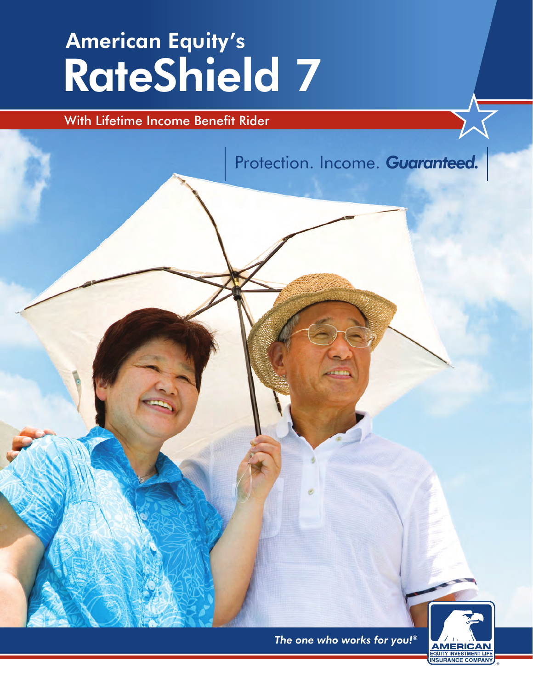# RateShield 7 American Equity's

### With Lifetime Income Benefit Rider

Protection. Income. *Guaranteed.*

*The one who works for you!®*

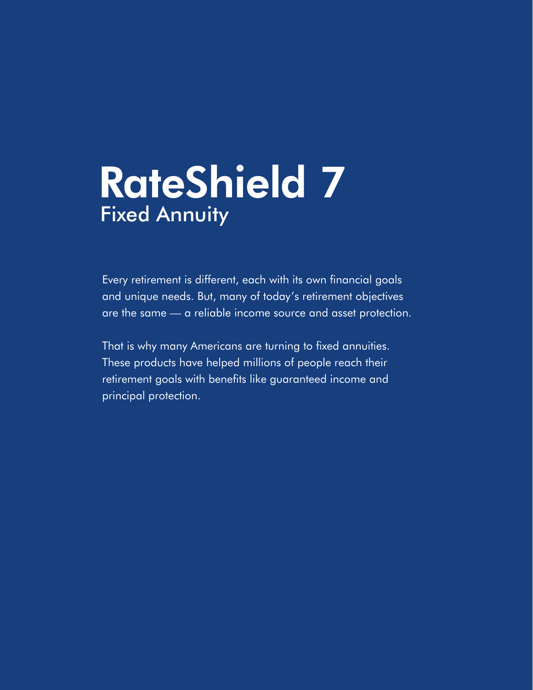# RateShield 7 Fixed Annuity

Every retirement is different, each with its own financial goals and unique needs. But, many of today's retirement objectives are the same — a reliable income source and asset protection.

That is why many Americans are turning to fixed annuities. These products have helped millions of people reach their retirement goals with benefits like guaranteed income and principal protection.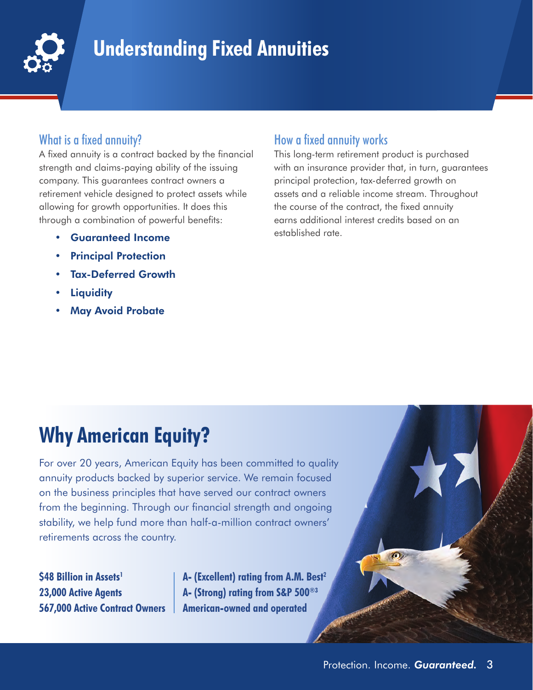

### **Understanding Fixed Annuities**

#### What is a fixed annuity?

A fixed annuity is a contract backed by the financial strength and claims-paying ability of the issuing company. This guarantees contract owners a retirement vehicle designed to protect assets while allowing for growth opportunities. It does this through a combination of powerful benefits:

- Guaranteed Income
- **Principal Protection**
- Tax-Deferred Growth
- **Liquidity**
- **May Avoid Probate**

#### How a fixed annuity works

This long-term retirement product is purchased with an insurance provider that, in turn, guarantees principal protection, tax-deferred growth on assets and a reliable income stream. Throughout the course of the contract, the fixed annuity earns additional interest credits based on an established rate.

## **Why American Equity?**

For over 20 years, American Equity has been committed to quality annuity products backed by superior service. We remain focused on the business principles that have served our contract owners from the beginning. Through our financial strength and ongoing stability, we help fund more than half-a-million contract owners' retirements across the country.

**\$48 Billion in Assets1 23,000 Active Agents 567,000 Active Contract Owners** **A- (Excellent) rating from A.M. Best2 A- (Strong) rating from S&P 500®3 American-owned and operated**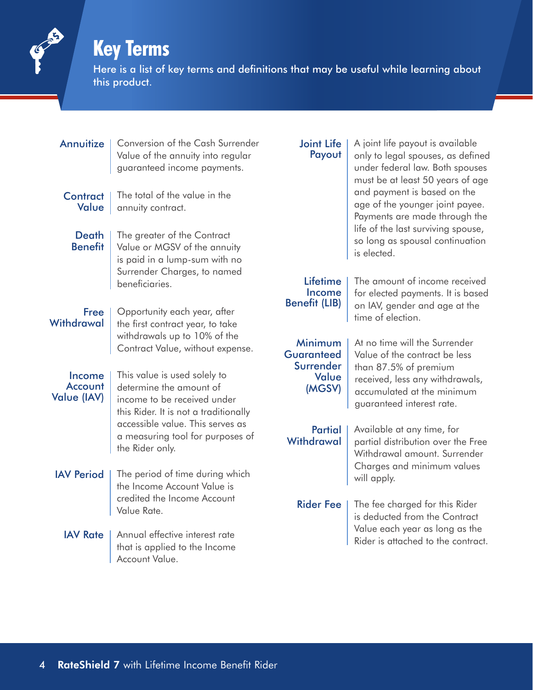### **Key Terms**

Here is a list of key terms and definitions that may be useful while learning about this product.

Annuitize | Conversion of the Cash Surrender Value of the annuity into regular guaranteed income payments.

#### Contract | Value |

The total of the value in the annuity contract.

The greater of the Contract

#### Death **Benefit**

Value or MGSV of the annuity is paid in a lump-sum with no Surrender Charges, to named beneficiaries.

#### Free Withdrawal

Opportunity each year, after the first contract year, to take withdrawals up to 10% of the Contract Value, without expense.

Income **Account** Value (IAV)

This value is used solely to determine the amount of income to be received under this Rider. It is not a traditionally accessible value. This serves as a measuring tool for purposes of the Rider only.

- IAV Period | The period of time during which the Income Account Value is credited the Income Account Value Rate.
	- **IAV Rate** Annual effective interest rate that is applied to the Income Account Value.

#### Joint Life | Payout

A joint life payout is available only to legal spouses, as defined under federal law. Both spouses must be at least 50 years of age and payment is based on the age of the younger joint payee. Payments are made through the life of the last surviving spouse, so long as spousal continuation is elected.

#### Lifetime Income Benefit (LIB)

The amount of income received for elected payments. It is based on IAV, gender and age at the time of election.

Minimum **Guaranteed Surrender** Value (MGSV)

At no time will the Surrender Value of the contract be less than 87.5% of premium received, less any withdrawals, accumulated at the minimum guaranteed interest rate.

Partial **Withdrawal** 

Available at any time, for partial distribution over the Free Withdrawal amount. Surrender Charges and minimum values will apply.

Rider Fee | The fee charged for this Rider is deducted from the Contract Value each year as long as the Rider is attached to the contract.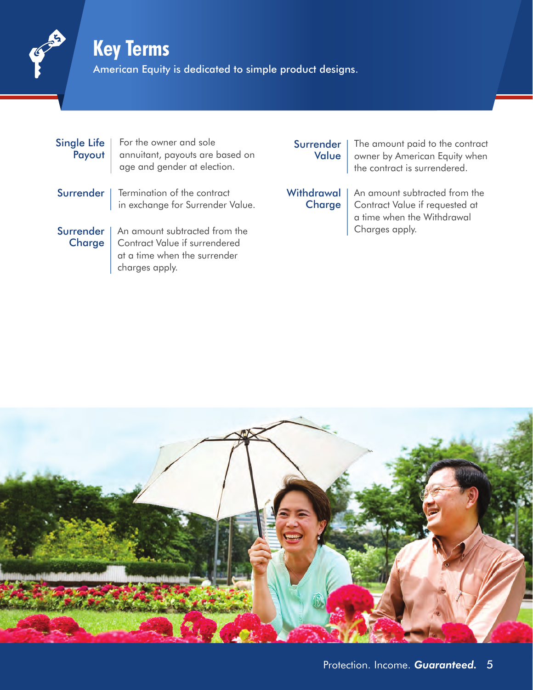### **Key Terms**

American Equity is dedicated to simple product designs.

| Single Life | For the owner and sole<br>Payout   annuitant, payouts are based on<br>age and gender at election.                   |  |
|-------------|---------------------------------------------------------------------------------------------------------------------|--|
|             | Surrender   Termination of the contract<br>in exchange for Surrender Value.                                         |  |
|             | Surrender   An amount subtracted from the<br>Charge   Contract Value if surrendered<br>at a time when the surrender |  |

charges apply.

#### Surrender | Value

The amount paid to the contract owner by American Equity when the contract is surrendered.

**Charge** 

Withdrawal | An amount subtracted from the Contract Value if requested at a time when the Withdrawal Charges apply.

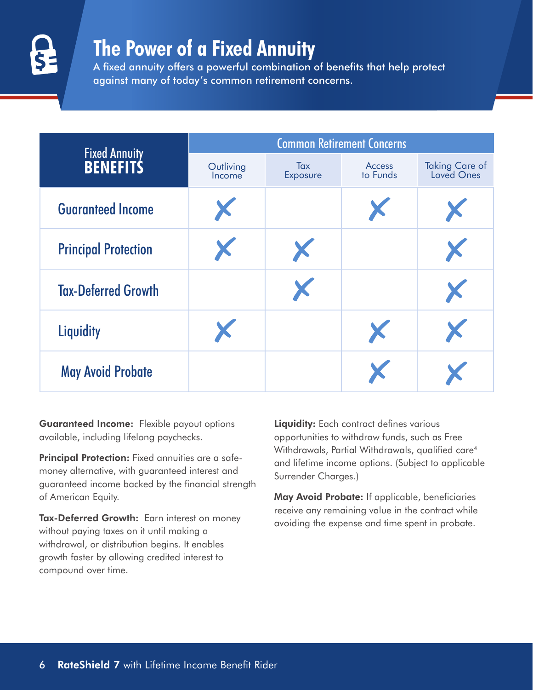

### **The Power of a Fixed Annuity**

A fixed annuity offers a powerful combination of benefits that help protect against many of today's common retirement concerns.

|                                         | <b>Common Retirement Concerns</b> |                 |                    |                              |  |  |  |
|-----------------------------------------|-----------------------------------|-----------------|--------------------|------------------------------|--|--|--|
| <b>Fixed Annuity</b><br><b>BENEFITS</b> | Outliving<br>Income               | Tax<br>Exposure | Access<br>to Funds | Taking Care of<br>Loved Ones |  |  |  |
| <b>Guaranteed Income</b>                | X                                 |                 | X                  |                              |  |  |  |
| <b>Principal Protection</b>             | X.                                | X               |                    |                              |  |  |  |
| <b>Tax-Deferred Growth</b>              |                                   |                 |                    |                              |  |  |  |
| <b>Liquidity</b>                        | X.                                |                 | X                  | X.                           |  |  |  |
| <b>May Avoid Probate</b>                |                                   |                 |                    |                              |  |  |  |

Guaranteed Income: Flexible payout options available, including lifelong paychecks.

Principal Protection: Fixed annuities are a safemoney alternative, with guaranteed interest and guaranteed income backed by the financial strength of American Equity.

Tax-Deferred Growth: Earn interest on money without paying taxes on it until making a withdrawal, or distribution begins. It enables growth faster by allowing credited interest to compound over time.

Liquidity: Each contract defines various opportunities to withdraw funds, such as Free Withdrawals, Partial Withdrawals, qualified care<sup>4</sup> and lifetime income options. (Subject to applicable Surrender Charges.)

May Avoid Probate: If applicable, beneficiaries receive any remaining value in the contract while avoiding the expense and time spent in probate.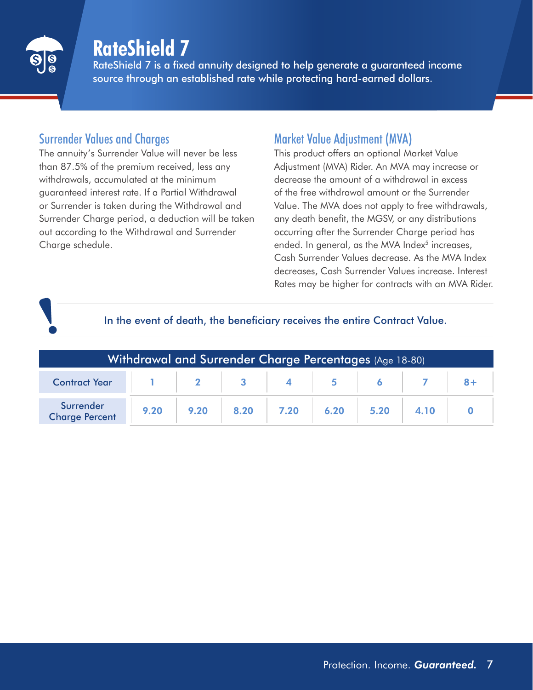

### **RateShield 7**

RateShield 7 is a fixed annuity designed to help generate a guaranteed income source through an established rate while protecting hard-earned dollars.

#### Surrender Values and Charges

The annuity's Surrender Value will never be less than 87.5% of the premium received, less any withdrawals, accumulated at the minimum guaranteed interest rate. If a Partial Withdrawal or Surrender is taken during the Withdrawal and Surrender Charge period, a deduction will be taken out according to the Withdrawal and Surrender Charge schedule.

### Market Value Adjustment (MVA)

This product offers an optional Market Value Adjustment (MVA) Rider. An MVA may increase or decrease the amount of a withdrawal in excess of the free withdrawal amount or the Surrender Value. The MVA does not apply to free withdrawals, any death benefit, the MGSV, or any distributions occurring after the Surrender Charge period has ended. In general, as the MVA Index<sup>5</sup> increases, Cash Surrender Values decrease. As the MVA Index decreases, Cash Surrender Values increase. Interest Rates may be higher for contracts with an MVA Rider.

#### In the event of death, the beneficiary receives the entire Contract Value.

| Withdrawal and Surrender Charge Percentages (Age 18-80), |      |      |  |                       |  |  |  |  |
|----------------------------------------------------------|------|------|--|-----------------------|--|--|--|--|
| Contract Year 1 1 2 3 4 5 6 7 8+                         |      |      |  |                       |  |  |  |  |
| Surrender<br><b>Charge Percent</b>                       | 9.20 | 9.20 |  | $8.20$ 7.20 6.20 5.20 |  |  |  |  |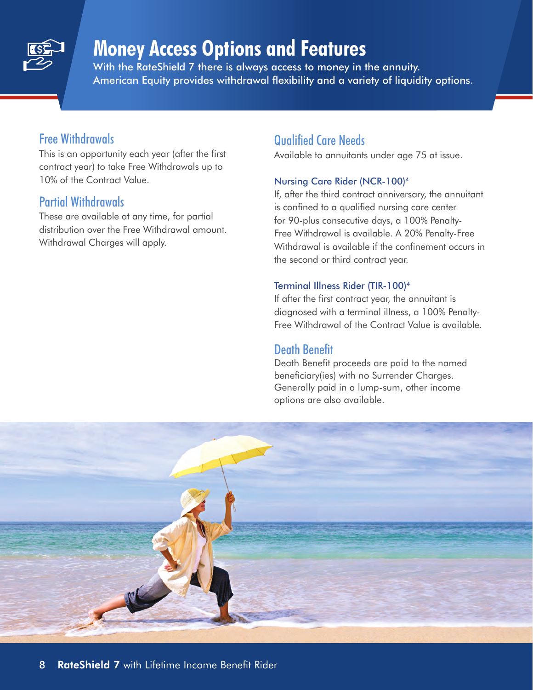

### **Money Access Options and Features**

With the RateShield 7 there is always access to money in the annuity. American Equity provides withdrawal flexibility and a variety of liquidity options.

#### Free Withdrawals

This is an opportunity each year (after the first contract year) to take Free Withdrawals up to 10% of the Contract Value.

#### Partial Withdrawals

These are available at any time, for partial distribution over the Free Withdrawal amount. Withdrawal Charges will apply.

#### Qualified Care Needs

Available to annuitants under age 75 at issue.

#### Nursing Care Rider (NCR-100)4

If, after the third contract anniversary, the annuitant is confined to a qualified nursing care center for 90-plus consecutive days, a 100% Penalty-Free Withdrawal is available. A 20% Penalty-Free Withdrawal is available if the confinement occurs in the second or third contract year.

#### Terminal Illness Rider (TIR-100)4

If after the first contract year, the annuitant is diagnosed with a terminal illness, a 100% Penalty-Free Withdrawal of the Contract Value is available.

#### Death Benefit

Death Benefit proceeds are paid to the named beneficiary(ies) with no Surrender Charges. Generally paid in a lump-sum, other income options are also available.

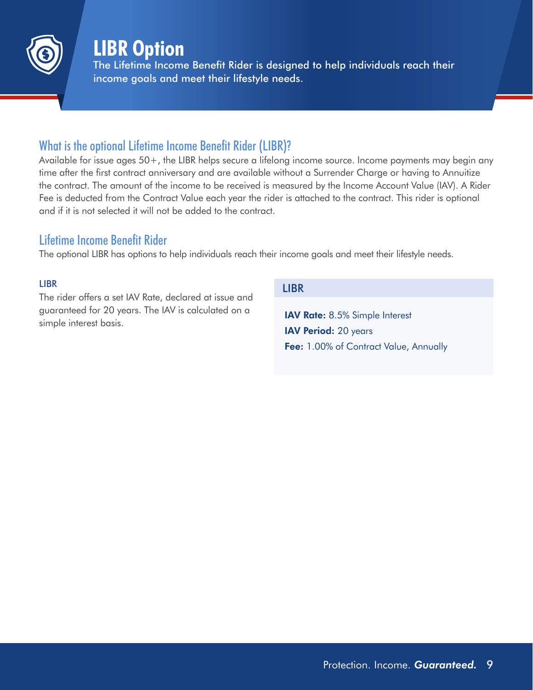

### **LIBR Option**

The Lifetime Income Benefit Rider is designed to help individuals reach their income goals and meet their lifestyle needs.

#### What is the optional Lifetime Income Benefit Rider (LIBR)?

Available for issue ages 50+, the LIBR helps secure a lifelong income source. Income payments may begin any time after the first contract anniversary and are available without a Surrender Charge or having to Annuitize the contract. The amount of the income to be received is measured by the Income Account Value (IAV). A Rider Fee is deducted from the Contract Value each year the rider is attached to the contract. This rider is optional and if it is not selected it will not be added to the contract.

#### Lifetime Income Benefit Rider

The optional LIBR has options to help individuals reach their income goals and meet their lifestyle needs.

#### LIBR

The rider offers a set IAV Rate, declared at issue and guaranteed for 20 years. The IAV is calculated on a simple interest basis.

#### LIBR

IAV Rate: 8.5% Simple Interest IAV Period: 20 years Fee: 1.00% of Contract Value, Annually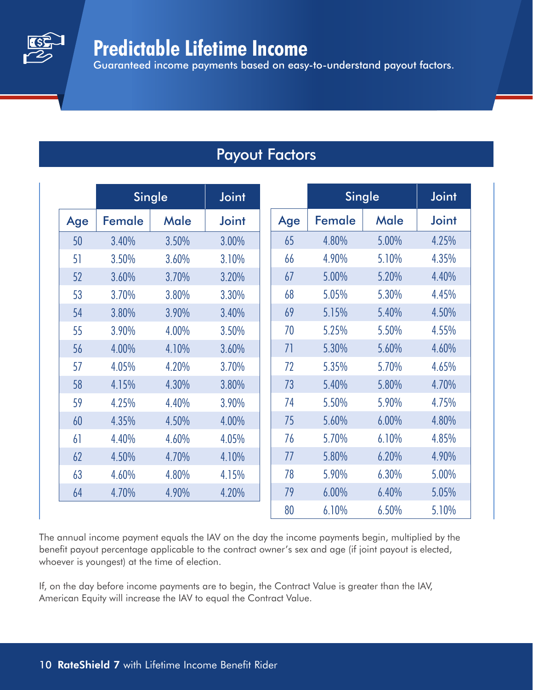### **Predictable Lifetime Income**

Guaranteed income payments based on easy-to-understand payout factors.

### Payout Factors

|     | <b>Single</b> |       | <b>Joint</b> |     | <b>Single</b> |             | <b>Joint</b> |
|-----|---------------|-------|--------------|-----|---------------|-------------|--------------|
| Age | Female        | Male  | <b>Joint</b> | Age | Female        | <b>Male</b> | <b>Joint</b> |
| 50  | 3.40%         | 3.50% | 3.00%        | 65  | 4.80%         | 5.00%       | 4.25%        |
| 51  | 3.50%         | 3.60% | 3.10%        | 66  | 4.90%         | 5.10%       | 4.35%        |
| 52  | 3.60%         | 3.70% | 3.20%        | 67  | 5.00%         | 5.20%       | 4.40%        |
| 53  | 3.70%         | 3.80% | 3.30%        | 68  | 5.05%         | 5.30%       | 4.45%        |
| 54  | 3.80%         | 3.90% | 3.40%        | 69  | 5.15%         | 5.40%       | 4.50%        |
| 55  | 3.90%         | 4.00% | 3.50%        | 70  | 5.25%         | 5.50%       | 4.55%        |
| 56  | 4.00%         | 4.10% | 3.60%        | 71  | 5.30%         | 5.60%       | 4.60%        |
| 57  | 4.05%         | 4.20% | 3.70%        | 72  | 5.35%         | 5.70%       | 4.65%        |
| 58  | 4.15%         | 4.30% | 3.80%        | 73  | 5.40%         | 5.80%       | 4.70%        |
| 59  | 4.25%         | 4.40% | 3.90%        | 74  | 5.50%         | 5.90%       | 4.75%        |
| 60  | 4.35%         | 4.50% | 4.00%        | 75  | 5.60%         | 6.00%       | 4.80%        |
| 61  | 4.40%         | 4.60% | 4.05%        | 76  | 5.70%         | 6.10%       | 4.85%        |
| 62  | 4.50%         | 4.70% | 4.10%        | 77  | 5.80%         | 6.20%       | 4.90%        |
| 63  | 4.60%         | 4.80% | 4.15%        | 78  | 5.90%         | 6.30%       | 5.00%        |
| 64  | 4.70%         | 4.90% | 4.20%        | 79  | 6.00%         | 6.40%       | 5.05%        |
|     |               |       |              | 80  | 6.10%         | 6.50%       | 5.10%        |

The annual income payment equals the IAV on the day the income payments begin, multiplied by the benefit payout percentage applicable to the contract owner's sex and age (if joint payout is elected, whoever is youngest) at the time of election.

If, on the day before income payments are to begin, the Contract Value is greater than the IAV, American Equity will increase the IAV to equal the Contract Value.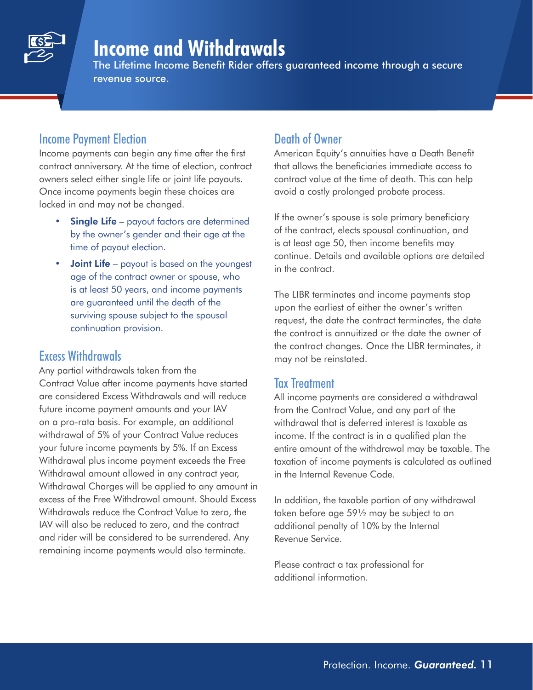

### **Income and Withdrawals**

The Lifetime Income Benefit Rider offers guaranteed income through a secure revenue source.

#### Income Payment Election

Income payments can begin any time after the first contract anniversary. At the time of election, contract owners select either single life or joint life payouts. Once income payments begin these choices are locked in and may not be changed.

- **Single Life** payout factors are determined by the owner's gender and their age at the time of payout election.
- **Joint Life** payout is based on the youngest age of the contract owner or spouse, who is at least 50 years, and income payments are guaranteed until the death of the surviving spouse subject to the spousal continuation provision.

#### Excess Withdrawals

Any partial withdrawals taken from the Contract Value after income payments have started are considered Excess Withdrawals and will reduce future income payment amounts and your IAV on a pro-rata basis. For example, an additional withdrawal of 5% of your Contract Value reduces your future income payments by 5%. If an Excess Withdrawal plus income payment exceeds the Free Withdrawal amount allowed in any contract year, Withdrawal Charges will be applied to any amount in excess of the Free Withdrawal amount. Should Excess Withdrawals reduce the Contract Value to zero, the IAV will also be reduced to zero, and the contract and rider will be considered to be surrendered. Any remaining income payments would also terminate.

#### Death of Owner

American Equity's annuities have a Death Benefit that allows the beneficiaries immediate access to contract value at the time of death. This can help avoid a costly prolonged probate process.

If the owner's spouse is sole primary beneficiary of the contract, elects spousal continuation, and is at least age 50, then income benefits may continue. Details and available options are detailed in the contract.

The LIBR terminates and income payments stop upon the earliest of either the owner's written request, the date the contract terminates, the date the contract is annuitized or the date the owner of the contract changes. Once the LIBR terminates, it may not be reinstated.

#### Tax Treatment

All income payments are considered a withdrawal from the Contract Value, and any part of the withdrawal that is deferred interest is taxable as income. If the contract is in a qualified plan the entire amount of the withdrawal may be taxable. The taxation of income payments is calculated as outlined in the Internal Revenue Code.

In addition, the taxable portion of any withdrawal taken before age 59½ may be subject to an additional penalty of 10% by the Internal Revenue Service.

Please contract a tax professional for additional information.